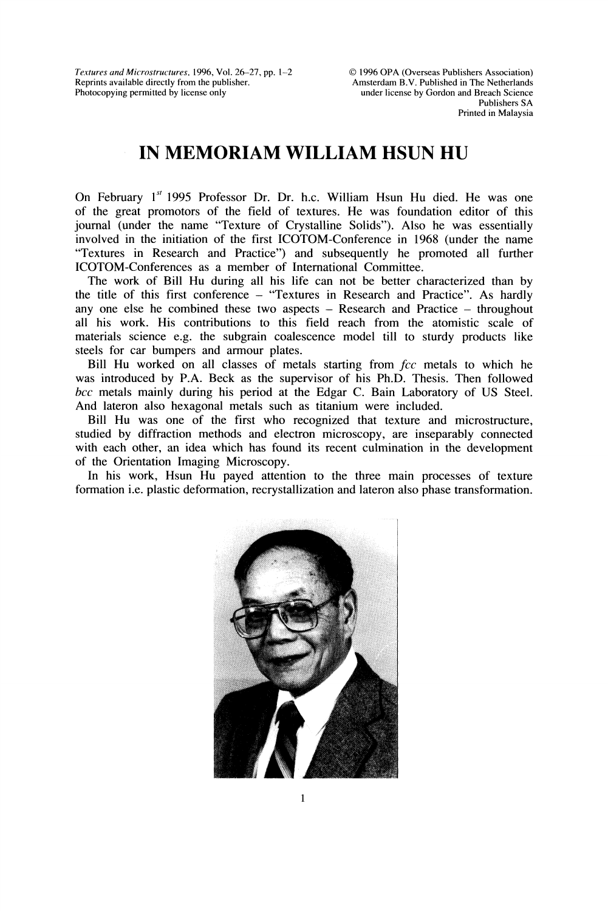Textures and Microstructures, 1996, Vol. 26-27, pp. 1-2 Reprints available directly from the publisher. Photocopying permitted by license only

## IN MEMORIAM WILLIAM HSUN HU

On February  $1^{st}$  1995 Professor Dr. Dr. h.c. William Hsun Hu died. He was one of the great promotors of the field of textures. He was foundation editor of this journal (under the name "Texture of Crystalline Solids"). Also he was essentially involved in the initiation of the first ICOTOM-Conference in 1968 (under the name "Textures in Research and Practice") and subsequently he promoted all further ICOTOM-Conferences as a member of International Committee.

The work of Bill Hu during all his life can not be better characterized than by the title of this first conference- "Textures in Research and Practice". As hardly any one else he combined these two aspects  $-$  Research and Practice  $-$  throughout all his work. His contributions to this field reach from the atomistic scale of materials science e.g. the subgrain coalescence model till to sturdy products like steels for car bumpers and armour plates.

Bill Hu worked on all classes of metals starting from  $fcc$  metals to which he was introduced by P.A. Beck as the supervisor of his Ph.D. Thesis. Then followed bcc metals mainly during his period at the Edgar C. Bain Laboratory of US Steel. And lateron also hexagonal metals such as titanium were included.

Bill Hu was one of the first who recognized that texture and microstructure, studied by diffraction methods and electron microscopy, are inseparably connected with each other, an idea which has found its recent culmination in the development of the Orientation Imaging Microscopy.

In his work, Hsun Hu payed attention to the three main processes of texture formation i.e. plastic deformation, recrystallization and lateron also phase transformation.